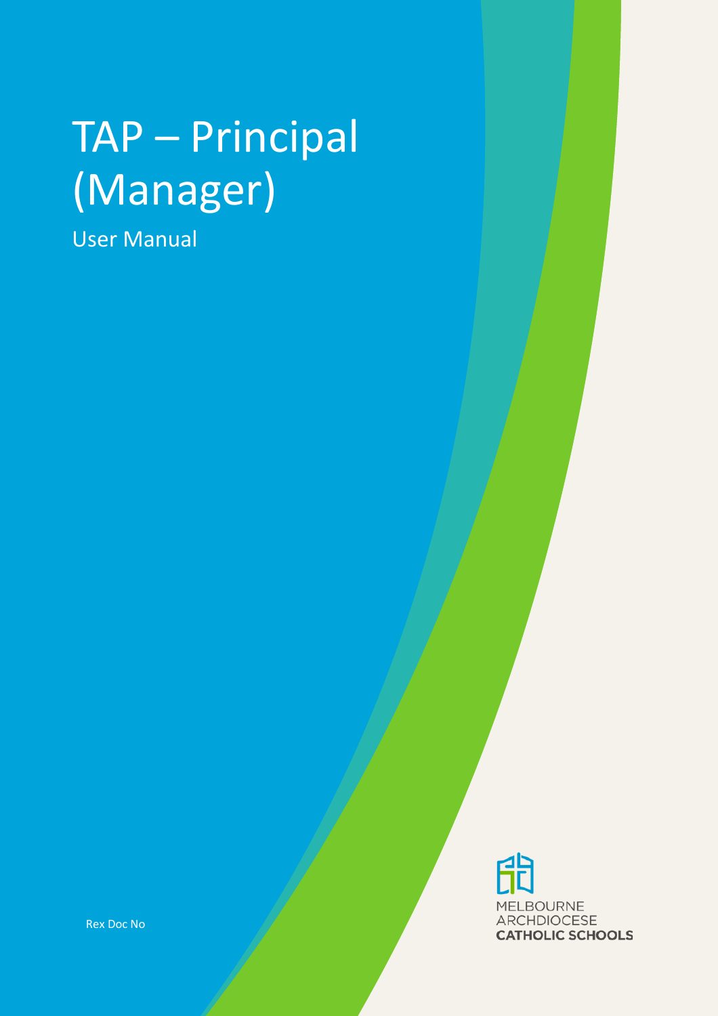# TAP – Principal (Manager)

User Manual

**MELBOURNE ARCHDIOCESE CATHOLIC SCHOOLS** 

Rex Doc No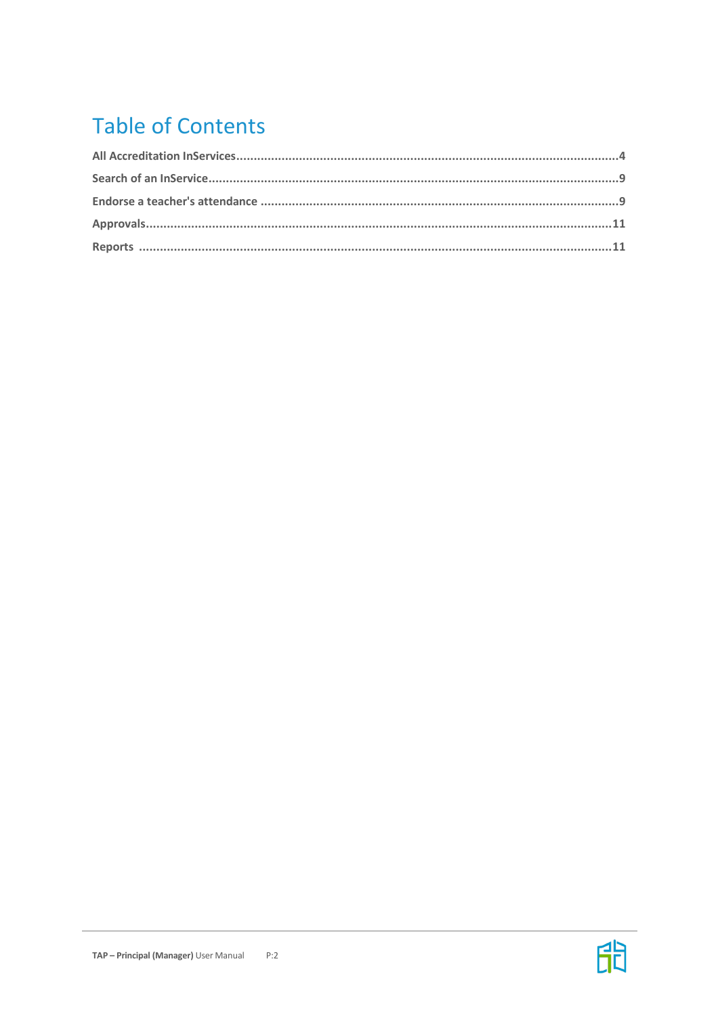# **Table of Contents**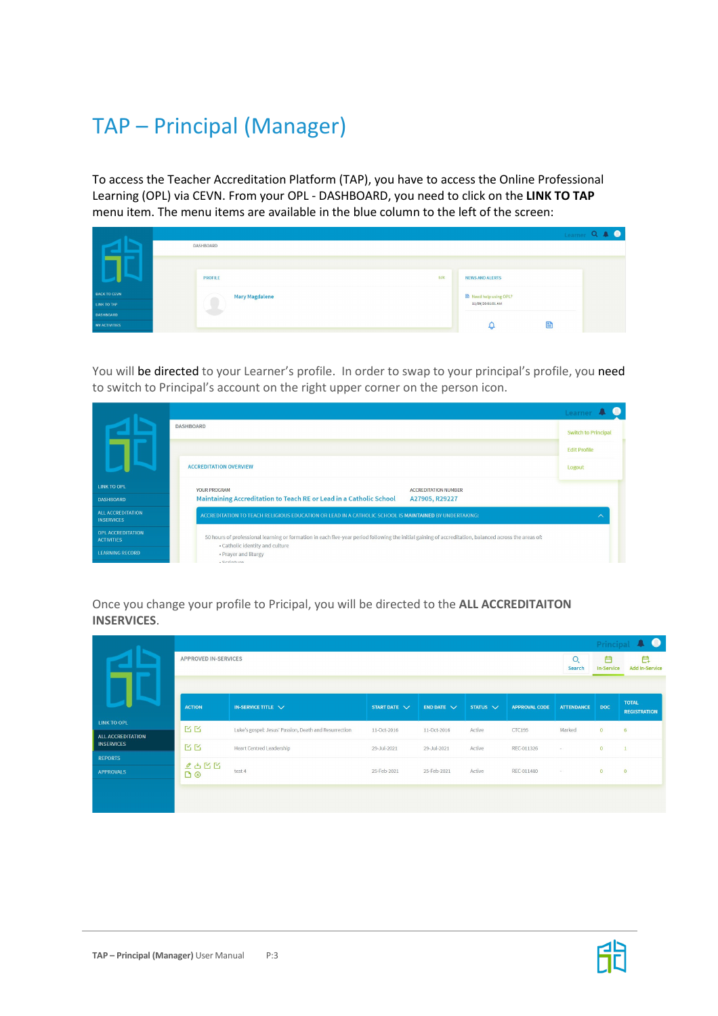# TAP – Principal (Manager)

To access the Teacher Accreditation Platform (TAP), you have to access the Online Professional Learning (OPL) via CEVN. From your OPL - DASHBOARD, you need to click on the **LINK TO TAP**  menu item. The menu items are available in the blue column to the left of the screen:

|                      |                       |      |                        |   | Learner Q A O |
|----------------------|-----------------------|------|------------------------|---|---------------|
|                      | DASHBOARD             |      |                        |   |               |
|                      |                       |      |                        |   |               |
|                      | <b>PROFILE</b>        | Edit | <b>NEWS AND ALERTS</b> |   |               |
| <b>BACK TO CEVN</b>  | <b>Mary Magdalene</b> |      | Need help using OPL?   |   |               |
| LINK TO TAP          |                       |      | 11/09/20 01:01 AM      |   |               |
| <b>DASHBOARD</b>     |                       |      |                        |   |               |
| <b>MY ACTIVITIES</b> |                       |      |                        | B |               |

You will be directed to your Learner's profile. In order to swap to your principal's profile, you need to switch to Principal's account on the right upper corner on the person icon.



Once you change your profile to Pricipal, you will be directed to the **ALL ACCREDITAITON INSERVICES**.

|                                         |                             |                                                       |                   |                                   |               |                      |                   |                        | Principal <b>4 0</b>                |
|-----------------------------------------|-----------------------------|-------------------------------------------------------|-------------------|-----------------------------------|---------------|----------------------|-------------------|------------------------|-------------------------------------|
|                                         | <b>APPROVED IN-SERVICES</b> |                                                       |                   |                                   |               |                      | $\circ$<br>Search | 白<br><b>In-Service</b> | 白<br><b>Add In-Service</b>          |
|                                         |                             |                                                       |                   |                                   |               |                      |                   |                        |                                     |
|                                         | <b>ACTION</b>               | IN-SERVICE TITLE $\vee$                               | START DATE $\vee$ | <b>END DATE <math>\vee</math></b> | STATUS $\vee$ | <b>APPROVAL CODE</b> | <b>ATTENDANCE</b> | <b>DOC</b>             | <b>TOTAL</b><br><b>REGISTRATION</b> |
| <b>LINK TO OPL</b><br>ALL ACCREDITATION | 区区                          | Luke's gospel: Jesus' Passion, Death and Resurrection | 11-Oct-2016       | 11-Oct-2016                       | Active        | CTC195               | Marked            | $\overline{0}$         | 6                                   |
| <b>INSERVICES</b>                       | 区区                          | <b>Heart Centred Leadership</b>                       | 29-Jul-2021       | 29-Jul-2021                       | Active        | REC-011326           | $\sim$ .          | $\overline{0}$         |                                     |
| <b>REPORTS</b>                          | $250$                       |                                                       |                   |                                   |               |                      |                   |                        |                                     |
| <b>APPROVALS</b>                        | 00                          | test 4                                                | 25-Feb-2021       | 25-Feb-2021                       | Active        | REC-011480           | CO.               | $\bullet$              | $\overline{0}$                      |
|                                         |                             |                                                       |                   |                                   |               |                      |                   |                        |                                     |
|                                         |                             |                                                       |                   |                                   |               |                      |                   |                        |                                     |

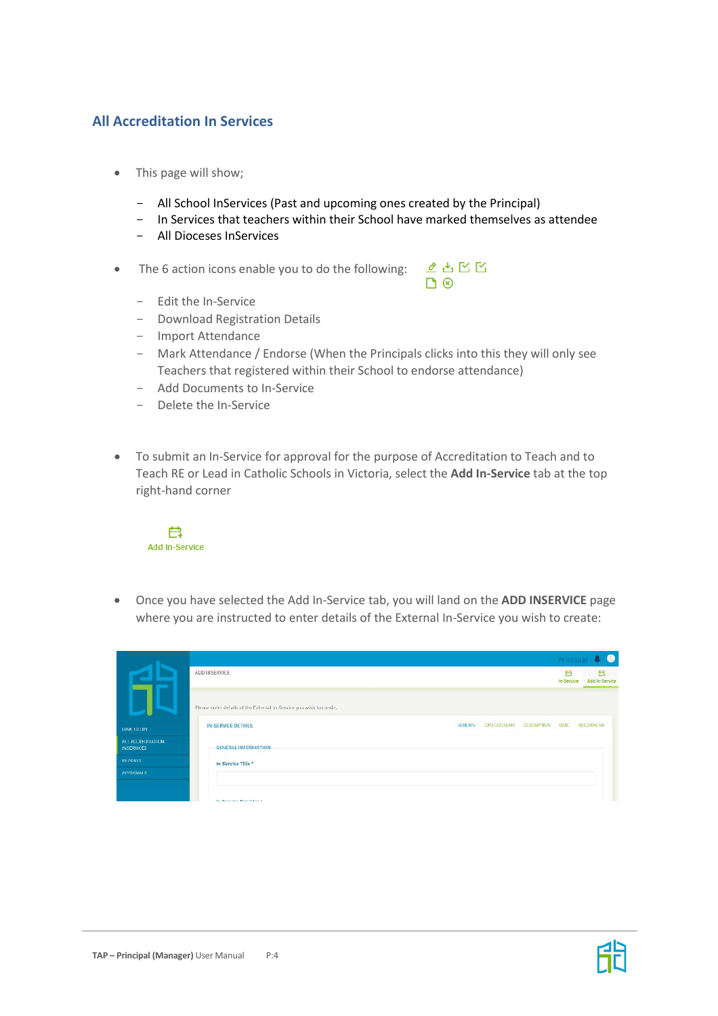## **All Accreditation In Services**

- This page will show;
	- All School InServices (Past and upcoming ones created by the Principal)
	- In Services that teachers within their School have marked themselves as attendee
	- All Dioceses InServices
- The 6 action icons enable you to do the following:



- Edit the In-Service
- Download Registration Details
- Import Attendance
- Mark Attendance / Endorse (When the Principals clicks into this they will only see Teachers that registered within their School to endorse attendance)
- Add Documents to In-Service
- Delete the In-Service
- To submit an In-Service for approval for the purpose of Accreditation to Teach and to Teach RE or Lead in Catholic Schools in Victoria, select the **Add In-Service** tab at the top right-hand corner



• Once you have selected the Add In-Service tab, you will land on the **ADD INSERVICE** page where you are instructed to enter details of the External In-Service you wish to create:

|                                         |                                                                                          | Principal       | $\bullet$           |
|-----------------------------------------|------------------------------------------------------------------------------------------|-----------------|---------------------|
|                                         | ADD INSERVICE                                                                            | Ħ<br>In-Service | 白<br>Add In-Service |
|                                         | Please enter details of the External In-Service you wish to create.                      |                 |                     |
| TINK TO OPT.                            | <b>GENERAL</b><br><b>IN-SERVICE DETAILS</b><br><b>CPD CATEGORY</b><br><b>DESCRIPTION</b> | <b>BATE</b>     | RECOMMEND           |
| ALL ACCREDITATION:<br><b>INSERVICES</b> | <b>GENERAL INFORMATION-</b>                                                              |                 |                     |
| <b>REPORTS</b>                          | In-Service Title*                                                                        |                 |                     |
| <b>APPROVALS</b>                        |                                                                                          |                 |                     |
|                                         |                                                                                          |                 |                     |
|                                         | <b>Jan Counting Deputation 1</b>                                                         |                 |                     |



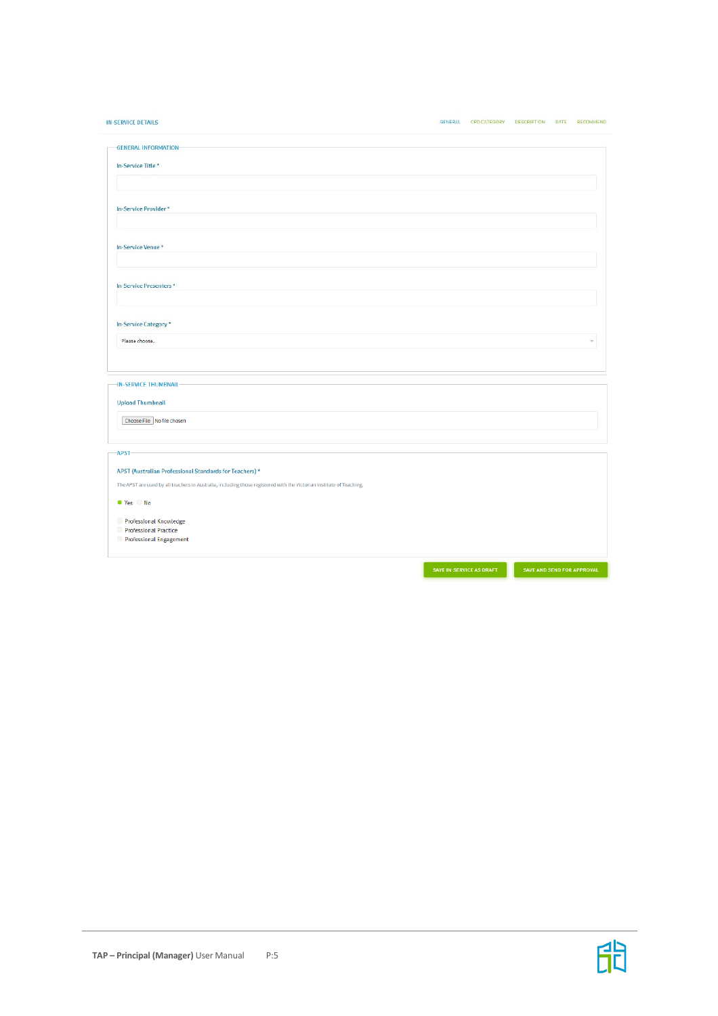| <b>IN-SERVICE DETAILS</b>                                                                                            | <b>GENERAL</b> | CPD CATEGORY DESCRIPTION DATE |  | RECOMMEND                |
|----------------------------------------------------------------------------------------------------------------------|----------------|-------------------------------|--|--------------------------|
| <b>GENERAL INFORMATION</b>                                                                                           |                |                               |  |                          |
| In-Service Title*                                                                                                    |                |                               |  |                          |
|                                                                                                                      |                |                               |  |                          |
| In-Service Provider*                                                                                                 |                |                               |  |                          |
|                                                                                                                      |                |                               |  |                          |
| In-Service Venue*                                                                                                    |                |                               |  |                          |
| In-Service Presenters*                                                                                               |                |                               |  |                          |
| In-Service Category *                                                                                                |                |                               |  |                          |
| Please choose                                                                                                        |                |                               |  | $\overline{\mathcal{M}}$ |
|                                                                                                                      |                |                               |  |                          |
| -IN-SERVICE THUMBNAIL                                                                                                |                |                               |  |                          |
| <b>Upload Thumbnail</b>                                                                                              |                |                               |  |                          |
| Choose File No file chosen                                                                                           |                |                               |  |                          |
| -APST-                                                                                                               |                |                               |  |                          |
| APST (Australian Professional Standards for Teachers) *                                                              |                |                               |  |                          |
| The APST are used by all teachers in Australia, including those registered with the Victorian Institute of Teaching. |                |                               |  |                          |
| ● Yes ● No                                                                                                           |                |                               |  |                          |
| Professional Knowledge<br>C<br><b>Professional Practice</b>                                                          |                |                               |  |                          |

Professional Engagement

SAVE IN-SERVICE AS DRAFT SAVE AND SEND FOR APPROVAL

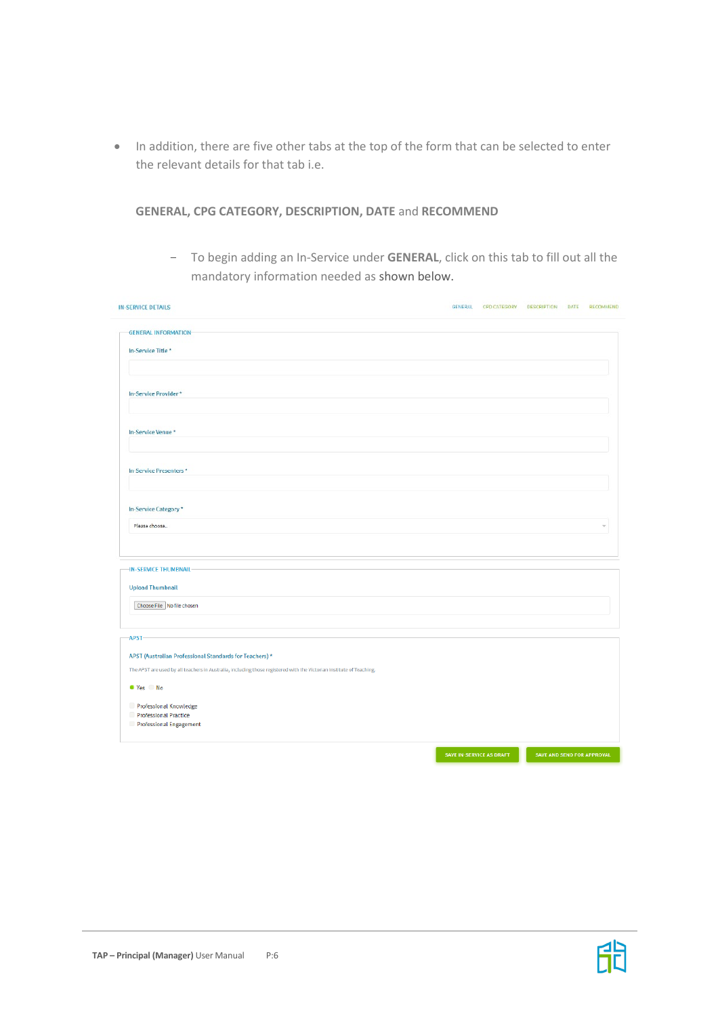• In addition, there are five other tabs at the top of the form that can be selected to enter the relevant details for that tab i.e.

**GENERAL, CPG CATEGORY, DESCRIPTION, DATE** and **RECOMMEND**

- To begin adding an In-Service under **GENERAL**, click on this tab to fill out all the mandatory information needed as shown below.

| <b>IN-SERVICE DETAILS</b>                                                                                            | <b>GENERAL</b>           | CPD CATEGORY | <b>DESCRIPTION</b>         | DATE | RECOMMEND |
|----------------------------------------------------------------------------------------------------------------------|--------------------------|--------------|----------------------------|------|-----------|
| <b>GENERAL INFORMATION-</b>                                                                                          |                          |              |                            |      |           |
| In-Service Title*                                                                                                    |                          |              |                            |      |           |
|                                                                                                                      |                          |              |                            |      |           |
|                                                                                                                      |                          |              |                            |      |           |
| In-Service Provider*                                                                                                 |                          |              |                            |      |           |
|                                                                                                                      |                          |              |                            |      |           |
| In-Service Venue *                                                                                                   |                          |              |                            |      |           |
|                                                                                                                      |                          |              |                            |      |           |
| In-Service Presenters*                                                                                               |                          |              |                            |      |           |
|                                                                                                                      |                          |              |                            |      |           |
|                                                                                                                      |                          |              |                            |      |           |
| In-Service Category*                                                                                                 |                          |              |                            |      |           |
| Please choose                                                                                                        |                          |              |                            |      | v.        |
|                                                                                                                      |                          |              |                            |      |           |
| -IN-SERVICE THUMBNAIL                                                                                                |                          |              |                            |      |           |
| <b>Upload Thumbnail</b>                                                                                              |                          |              |                            |      |           |
| Choose File No file chosen                                                                                           |                          |              |                            |      |           |
|                                                                                                                      |                          |              |                            |      |           |
| -APST                                                                                                                |                          |              |                            |      |           |
| APST (Australian Professional Standards for Teachers) *                                                              |                          |              |                            |      |           |
| The APST are used by all teachers in Australia, including those registered with the Victorian Institute of Teaching. |                          |              |                            |      |           |
| ● Yes ● No                                                                                                           |                          |              |                            |      |           |
| Professional Knowledge                                                                                               |                          |              |                            |      |           |
| Professional Practice                                                                                                |                          |              |                            |      |           |
| Professional Engagement                                                                                              |                          |              |                            |      |           |
|                                                                                                                      | SAVE IN-SERVICE AS DRAFT |              | SAVE AND SEND FOR APPROVAL |      |           |
|                                                                                                                      |                          |              |                            |      |           |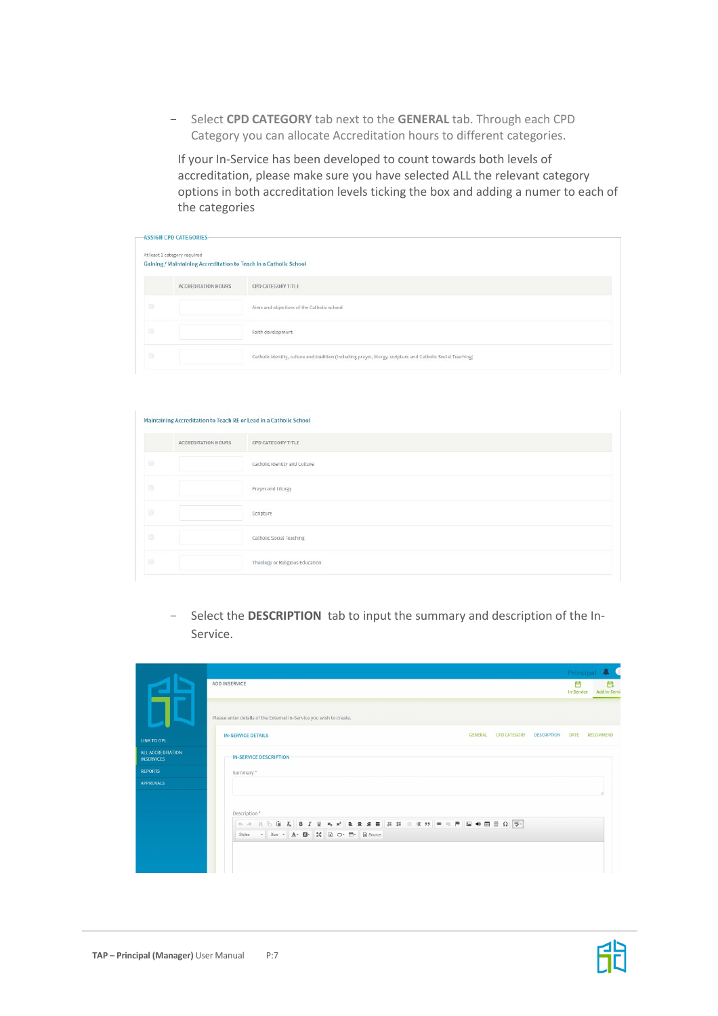- Select **CPD CATEGORY** tab next to the **GENERAL** tab. Through each CPD Category you can allocate Accreditation hours to different categories.

If your In-Service has been developed to count towards both levels of accreditation, please make sure you have selected ALL the relevant category options in both accreditation levels ticking the box and adding a numer to each of the categories

|        | <b>ASSIGN CPD CATEGORIES-</b>                                                                     |                                                                                                              |  |
|--------|---------------------------------------------------------------------------------------------------|--------------------------------------------------------------------------------------------------------------|--|
|        | At least 1 category required<br>Gaining / Maintaining Accreditation to Teach in a Catholic School |                                                                                                              |  |
|        | <b>ACCREDITATION HOURS</b>                                                                        | CPD CATEGORY TITLE                                                                                           |  |
| G      |                                                                                                   | Aims and objectives of the Catholic school                                                                   |  |
| $\Box$ |                                                                                                   | Faith development                                                                                            |  |
| $\Box$ |                                                                                                   | Catholic identity, culture and tradition (including prayer, liturgy, scripture and Catholic Social Teaching) |  |

|                                        | Maintaining Accreditation to Teach RE or Lead in a Catholic School |                                 |
|----------------------------------------|--------------------------------------------------------------------|---------------------------------|
|                                        | ACCREDITATION HOURS                                                | CPD CATEGORY TITLE              |
| $\qquad \qquad \Box$                   |                                                                    | Catholic Identity and Culture   |
| $\Box$                                 |                                                                    | Prayer and Liturgy              |
| $\begin{array}{c} \square \end{array}$ |                                                                    | Scripture                       |
| $\Box$                                 |                                                                    | Catholic Social Teaching        |
| $\Box$                                 |                                                                    | Theology or Religious Education |

- Select the **DESCRIPTION** tab to input the summary and description of the In-Service.

|                                        |                                                                                                                                                                                                                                                                                                                                                                                                                                                                                                | Principal                                    |
|----------------------------------------|------------------------------------------------------------------------------------------------------------------------------------------------------------------------------------------------------------------------------------------------------------------------------------------------------------------------------------------------------------------------------------------------------------------------------------------------------------------------------------------------|----------------------------------------------|
|                                        | <b>ADD INSERVICE</b>                                                                                                                                                                                                                                                                                                                                                                                                                                                                           | 白<br>白<br>In-Service<br><b>Add In-Servic</b> |
|                                        | Please enter details of the External In-Service you wish to create.                                                                                                                                                                                                                                                                                                                                                                                                                            |                                              |
| <b>LINK TO OPL</b>                     | <b>GENERAL</b><br><b>CPD CATEGORY</b><br><b>DESCRIPTION</b><br><b>IN-SERVICE DETAILS</b>                                                                                                                                                                                                                                                                                                                                                                                                       | <b>RECOMMEND</b><br>DATE                     |
| ALL ACCREDITATION<br><b>INSERVICES</b> | <b>IN-SERVICE DESCRIPTION</b>                                                                                                                                                                                                                                                                                                                                                                                                                                                                  |                                              |
| <b>REPORTS</b>                         | Summary *                                                                                                                                                                                                                                                                                                                                                                                                                                                                                      |                                              |
| <b>APPROVALS</b>                       |                                                                                                                                                                                                                                                                                                                                                                                                                                                                                                |                                              |
|                                        | Description*                                                                                                                                                                                                                                                                                                                                                                                                                                                                                   |                                              |
|                                        | $\leftarrow\ \rightarrow\ \ \times\ \odot\ \oplus\ \ \mathcal{I}_{\mathbf{x}}\ \ \left \ \mathbf{B}\ \ \mathbf{I}\ \ \mathbf{U}\ \ \mathbf{x}_{\mathbf{x}}\ \ \mathbf{x}^{\mathbf{x}}\ \right \ \ \Xi\ \ \Xi\ \ \Xi\ \ \equiv\ \left \ \Xi\ \ \Xi\ \ \mp\ \mathbf{1}\ \ \mathbf{y}\ \ \right \ \ \Leftrightarrow\ \ \lnot\qquad\qquad \left \ \mathbf{E}\ \ \mathbf{u}\ \ \mathbf{d}\ \ \mathbf{E}\ \equiv\ \mathbf{\Omega}\ \ \mathbf{y}^{\mathbf{x}}\ \ \mathbf{y}\ \ \mathbf{z}^{\mathbf{x$ |                                              |
|                                        | Styles - Size - A - A - 30 - - - 0 Source                                                                                                                                                                                                                                                                                                                                                                                                                                                      |                                              |
|                                        |                                                                                                                                                                                                                                                                                                                                                                                                                                                                                                |                                              |
|                                        |                                                                                                                                                                                                                                                                                                                                                                                                                                                                                                |                                              |



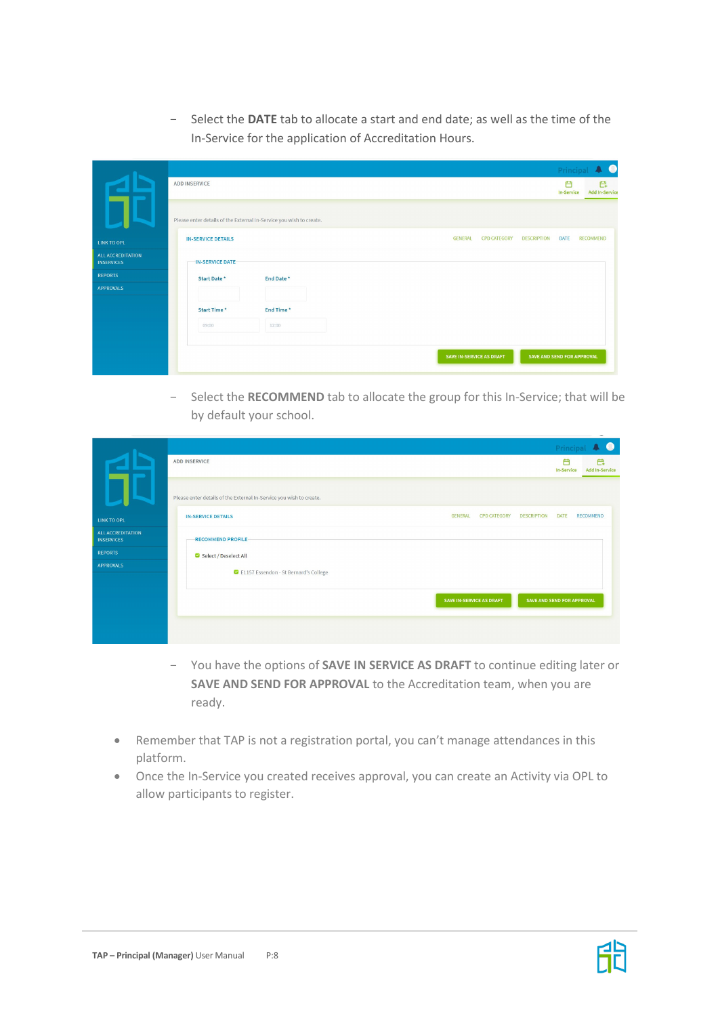- Select the **DATE** tab to allocate a start and end date; as well as the time of the In-Service for the application of Accreditation Hours.

|                                        |                                                                     |           |  |                |                          |                            | Princip                | $\bullet$                   |
|----------------------------------------|---------------------------------------------------------------------|-----------|--|----------------|--------------------------|----------------------------|------------------------|-----------------------------|
|                                        | ADD INSERVICE                                                       |           |  |                |                          |                            | 白<br><b>In-Service</b> | Ë.<br><b>Add In-Service</b> |
|                                        | Please enter details of the External In-Service you wish to create. |           |  |                |                          |                            |                        |                             |
| LINK TO OPL                            | <b>IN-SERVICE DETAILS</b>                                           |           |  | <b>GENERAL</b> | <b>CPD CATEGORY</b>      | <b>DESCRIPTION</b>         | DATE                   | <b>RECOMMEND</b>            |
| ALL ACCREDITATION<br><b>INSERVICES</b> | <b>IN-SERVICE DATE-</b>                                             |           |  |                |                          |                            |                        |                             |
| <b>REPORTS</b>                         | Start Date*                                                         | End Date* |  |                |                          |                            |                        |                             |
| <b>APPROVALS</b>                       |                                                                     |           |  |                |                          |                            |                        |                             |
|                                        | Start Time*                                                         | End Time* |  |                |                          |                            |                        |                             |
|                                        | 09:00                                                               | 12:00     |  |                |                          |                            |                        |                             |
|                                        |                                                                     |           |  |                |                          |                            |                        |                             |
|                                        |                                                                     |           |  |                | SAVE IN-SERVICE AS DRAFT | SAVE AND SEND FOR APPROVAL |                        |                             |

- Select the **RECOMMEND** tab to allocate the group for this In-Service; that will be by default your school.

|                                        |                                                                                          | Princi                 | $\bullet$                  |
|----------------------------------------|------------------------------------------------------------------------------------------|------------------------|----------------------------|
|                                        | ADD INSERVICE                                                                            | 户<br><b>In-Service</b> | 白<br><b>Add In-Service</b> |
|                                        | Please enter details of the External In-Service you wish to create.                      |                        |                            |
| <b>LINK TO OPL</b>                     | <b>GENERAL</b><br><b>CPD CATEGORY</b><br><b>DESCRIPTION</b><br><b>IN-SERVICE DETAILS</b> | <b>DATE</b>            | <b>RECOMMEND</b>           |
| ALL ACCREDITATION<br><b>INSERVICES</b> | <b>RECOMMEND PROFILE-</b>                                                                |                        |                            |
| <b>REPORTS</b>                         | Select / Deselect All                                                                    |                        |                            |
| <b>APPROVALS</b>                       | E1157 Essendon - St Bernard's College                                                    |                        |                            |
|                                        | SAVE IN-SERVICE AS DRAFT<br>SAVE AND SEND FOR APPROVAL                                   |                        |                            |
|                                        |                                                                                          |                        |                            |

- You have the options of **SAVE IN SERVICE AS DRAFT** to continue editing later or **SAVE AND SEND FOR APPROVAL** to the Accreditation team, when you are ready.
- Remember that TAP is not a registration portal, you can't manage attendances in this platform.
- Once the In-Service you created receives approval, you can create an Activity via OPL to allow participants to register.

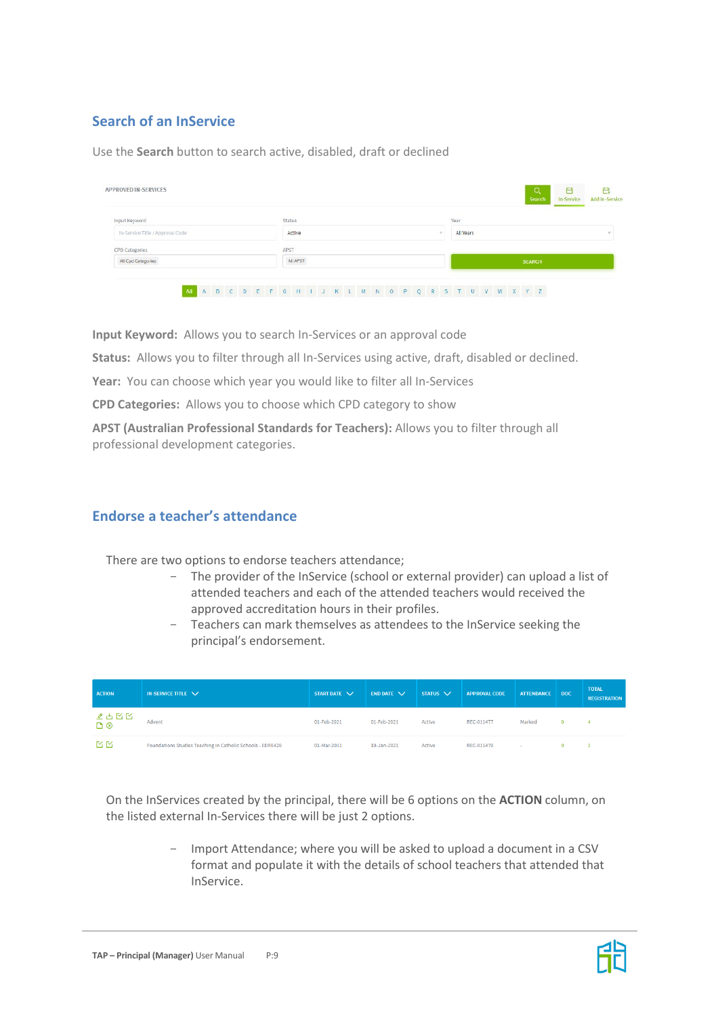# **Search of an InService**

Use the **Search** button to search active, disabled, draft or declined

| Year<br>Input Keyword<br>Status<br>In-Service Title / Approval Code<br>All Years<br>Active<br>22400<br>CPD Categories<br>APST |  | Q<br>Search | 白<br>白<br>In-Service<br>Add In-Service |
|-------------------------------------------------------------------------------------------------------------------------------|--|-------------|----------------------------------------|
|                                                                                                                               |  |             |                                        |
|                                                                                                                               |  |             |                                        |
|                                                                                                                               |  |             |                                        |
| <b>AILAPST</b><br>All Cpd Categories<br><b>SEARCH</b>                                                                         |  |             |                                        |

**Input Keyword:** Allows you to search In-Services or an approval code

**Status:** Allows you to filter through all In-Services using active, draft, disabled or declined.

**Year:** You can choose which year you would like to filter all In-Services

**CPD Categories:** Allows you to choose which CPD category to show

**APST (Australian Professional Standards for Teachers):** Allows you to filter through all professional development categories.

#### **Endorse a teacher's attendance**

There are two options to endorse teachers attendance;

- The provider of the InService (school or external provider) can upload a list of attended teachers and each of the attended teachers would received the approved accreditation hours in their profiles.
- Teachers can mark themselves as attendees to the InService seeking the principal's endorsement.

| <b>ACTION</b> | IN-SERVICE TITLE $\vee$                                    | START DATE V | <b>END DATE <math>\vee</math></b> | $STATUS$ $\vee$ | <b>APPROVAL CODE</b> | ATTENDANCE   DOC | <b>TOTAL</b><br><b>REGISTRATION</b> |
|---------------|------------------------------------------------------------|--------------|-----------------------------------|-----------------|----------------------|------------------|-------------------------------------|
| ত⊗<br>ত⊗      | Advent                                                     | 01-Feb-2021  | 01-Feb-2021                       | Active          | REC-011477           | Marked           | $\boldsymbol{A}$                    |
| KM            | Foundations Studies Teaching in Catholic Schools - EDRE429 | 01-Mar-2011  | 19-Jan-2021                       | Active          | REC-011479           | $\sim$           |                                     |

On the InServices created by the principal, there will be 6 options on the **ACTION** column, on the listed external In-Services there will be just 2 options.

> - Import Attendance; where you will be asked to upload a document in a CSV format and populate it with the details of school teachers that attended that InService.

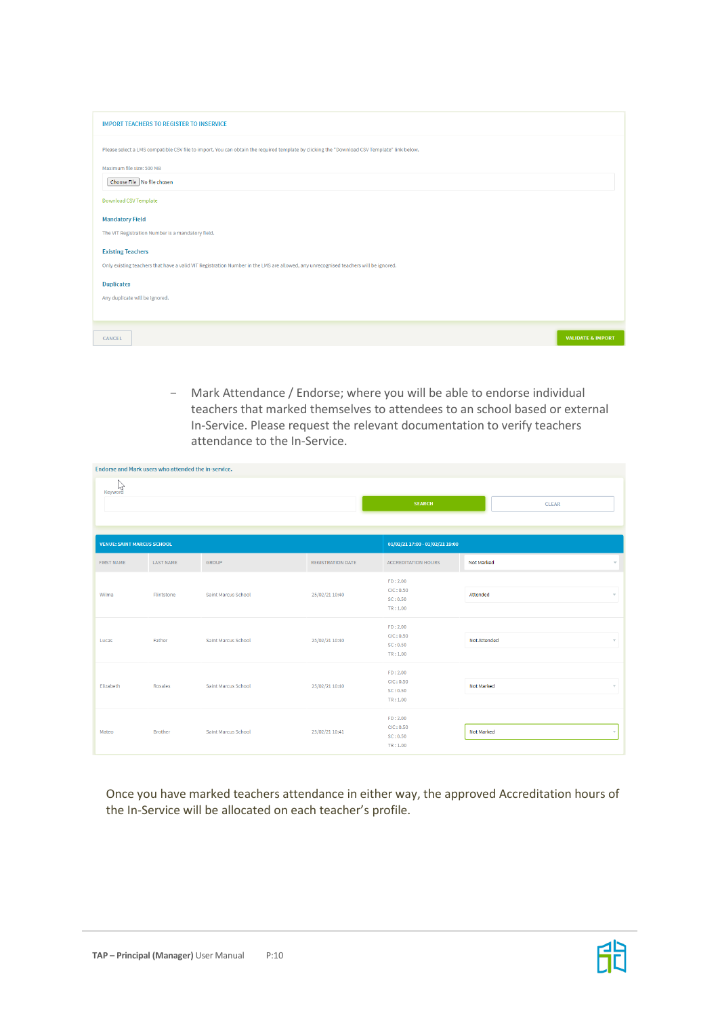| <b>IMPORT TEACHERS TO REGISTER TO INSERVICE</b>                                                                                             |                              |
|---------------------------------------------------------------------------------------------------------------------------------------------|------------------------------|
| Please select a LMS compatible CSV file to import. You can obtain the required template by clicking the "Download CSV Template" link below. |                              |
| Maximum file size: 500 MB                                                                                                                   |                              |
| Choose File No file chosen                                                                                                                  |                              |
| <b>Download CSV Template</b>                                                                                                                |                              |
| <b>Mandatory Field</b>                                                                                                                      |                              |
| The VIT Registration Number is a mandatory field.                                                                                           |                              |
| <b>Existing Teachers</b>                                                                                                                    |                              |
| Only existing teachers that have a valid VIT Registration Number in the LMS are allowed, any unrecognised teachers will be ignored.         |                              |
| <b>Duplicates</b>                                                                                                                           |                              |
| Any duplicate will be ignored.                                                                                                              |                              |
|                                                                                                                                             |                              |
| CANCEL                                                                                                                                      | <b>VALIDATE &amp; IMPORT</b> |
|                                                                                                                                             |                              |

- Mark Attendance / Endorse; where you will be able to endorse individual teachers that marked themselves to attendees to an school based or external In-Service. Please request the relevant documentation to verify teachers attendance to the In-Service.

| Endorse and Mark users who attended the in-service. |                |                     |                          |                                               |                                        |  |  |
|-----------------------------------------------------|----------------|---------------------|--------------------------|-----------------------------------------------|----------------------------------------|--|--|
| w<br>Keyword                                        |                |                     |                          | <b>SEARCH</b>                                 | <b>CLEAR</b>                           |  |  |
| <b>VENUE: SAINT MARCUS SCHOOL</b>                   |                |                     |                          | 01/02/21 17:00 - 01/02/21 19:00               |                                        |  |  |
| <b>FIRST NAME</b>                                   | LAST NAME      | <b>GROUP</b>        | <b>REGISTRATION DATE</b> | <b>ACCREDITATION HOURS</b>                    | Not Marked<br>$\overline{\phantom{a}}$ |  |  |
| Wilma                                               | Flintstone     | Saint Marcus School | 25/02/21 10:40           | FD: 2.00<br>CIC: 0.50<br>SC: 0.50<br>TR: 1.00 | Attended<br>$\overline{\nabla}$        |  |  |
| Lucas                                               | Father         | Saint Marcus School | 25/02/21 10:40           | FD: 2.00<br>ClC: 0.50<br>SC: 0.50<br>TR:1.00  | Not Attended<br>$\overline{\nabla}$    |  |  |
| Elizabeth                                           | Rosales        | Saint Marcus School | 25/02/21 10:40           | FD: 2.00<br>ClC: 0.50<br>SC: 0.50<br>TR: 1.00 | Not Marked<br>$\overline{\mathbf{v}}$  |  |  |
| Mateo                                               | <b>Brother</b> | Saint Marcus School | 25/02/21 10:41           | FD: 2.00<br>ClC: 0.50<br>SC: 0.50<br>TR: 1.00 | Not Marked                             |  |  |

Once you have marked teachers attendance in either way, the approved Accreditation hours of the In-Service will be allocated on each teacher's profile.